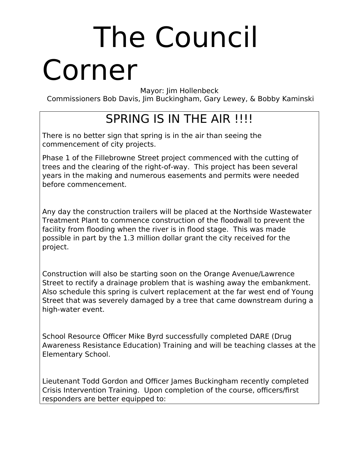## The Council Corner

Mayor: Jim Hollenbeck

Commissioners Bob Davis, Jim Buckingham, Gary Lewey, & Bobby Kaminski

### SPRING IS IN THE AIR !!!!

There is no better sign that spring is in the air than seeing the commencement of city projects.

Phase 1 of the Fillebrowne Street project commenced with the cutting of trees and the clearing of the right-of-way. This project has been several years in the making and numerous easements and permits were needed before commencement.

Any day the construction trailers will be placed at the Northside Wastewater Treatment Plant to commence construction of the floodwall to prevent the facility from flooding when the river is in flood stage. This was made possible in part by the 1.3 million dollar grant the city received for the project.

Construction will also be starting soon on the Orange Avenue/Lawrence Street to rectify a drainage problem that is washing away the embankment. Also schedule this spring is culvert replacement at the far west end of Young Street that was severely damaged by a tree that came downstream during a high-water event.

School Resource Officer Mike Byrd successfully completed DARE (Drug Awareness Resistance Education) Training and will be teaching classes at the Elementary School.

Lieutenant Todd Gordon and Officer James Buckingham recently completed Crisis Intervention Training. Upon completion of the course, officers/first responders are better equipped to: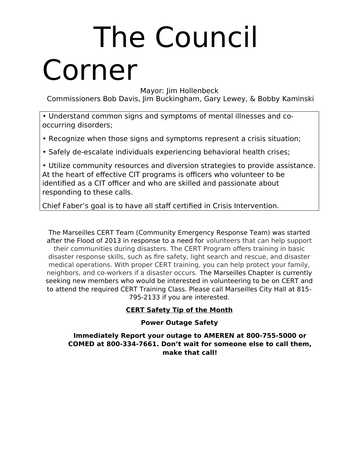### The Council Corner

Mayor: Jim Hollenbeck

Commissioners Bob Davis, Jim Buckingham, Gary Lewey, & Bobby Kaminski

• Understand common signs and symptoms of mental illnesses and cooccurring disorders;

• Recognize when those signs and symptoms represent a crisis situation;

• Safely de-escalate individuals experiencing behavioral health crises;

• Utilize community resources and diversion strategies to provide assistance. At the heart of effective CIT programs is officers who volunteer to be identified as a CIT officer and who are skilled and passionate about responding to these calls.

Chief Faber's goal is to have all staff certified in Crisis Intervention.

The Marseilles CERT Team (Community Emergency Response Team) was started after the Flood of 2013 in response to a need for volunteers that can help support their communities during disasters. The CERT Program offers training in basic disaster response skills, such as fire safety, light search and rescue, and disaster medical operations. With proper CERT training, you can help protect your family, neighbors, and co-workers if a disaster occurs. The Marseilles Chapter is currently seeking new members who would be interested in volunteering to be on CERT and to attend the required CERT Training Class. Please call Marseilles City Hall at 815- 795-2133 if you are interested.

#### **CERT Safety Tip of the Month**

#### **Power Outage Safety**

**Immediately Report your outage to AMEREN at 800-755-5000 or COMED at 800-334-7661. Don't wait for someone else to call them, make that call!**